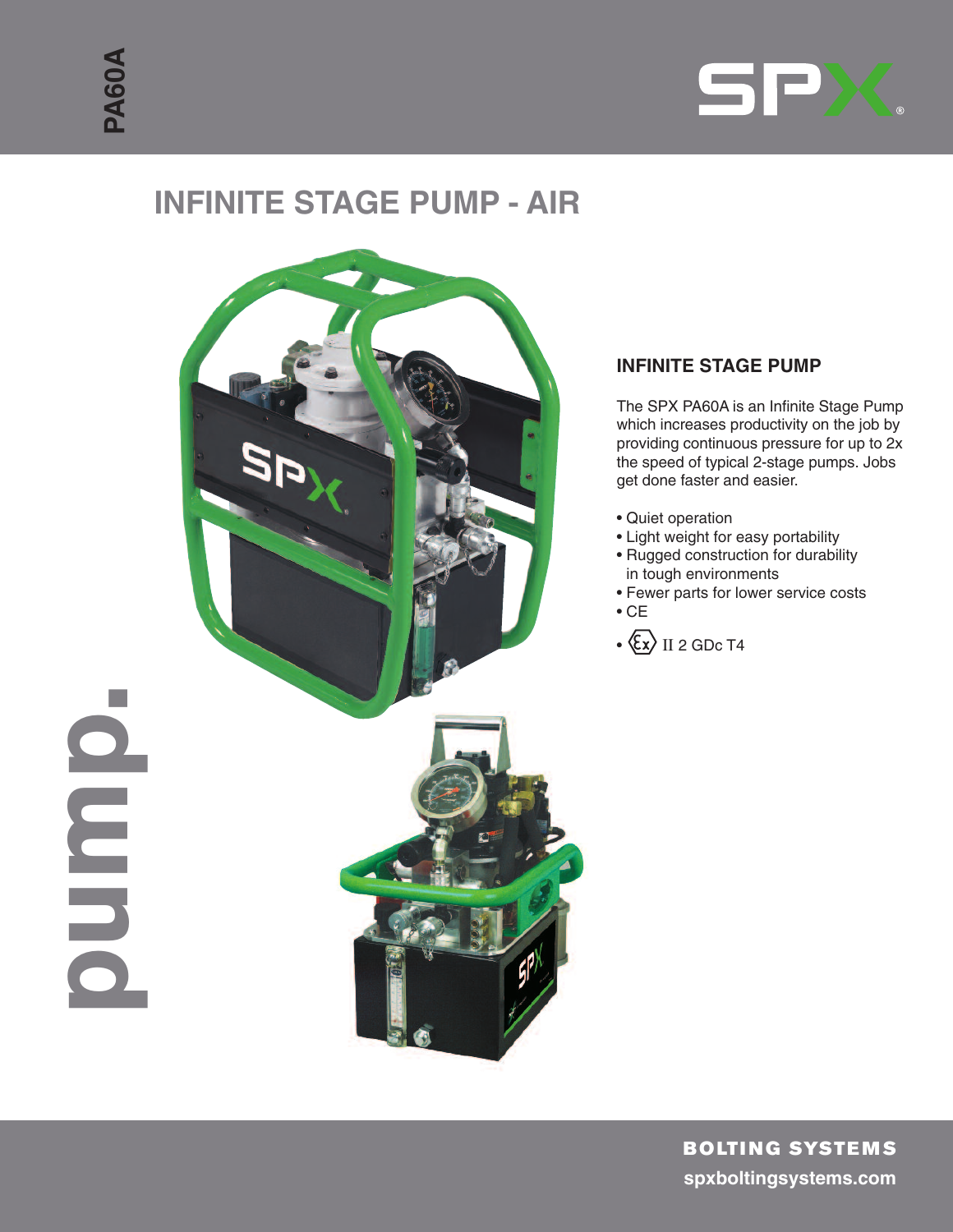**p**

**u**

**m**

**p**



# **INFINITE STAGE PUMP - AIR**



# **INFINITE STAGE PUMP**

The SPX PA60A is an Infinite Stage Pump which increases productivity on the job by providing continuous pressure for up to 2x the speed of typical 2-stage pumps. Jobs get done faster and easier.

- Quiet operation
- Light weight for easy portability
- Rugged construction for durability in tough environments
- Fewer parts for lower service costs
- CE
- $\cdot$   $\langle \overline{\xi} \chi \rangle$  II 2 GDc T4